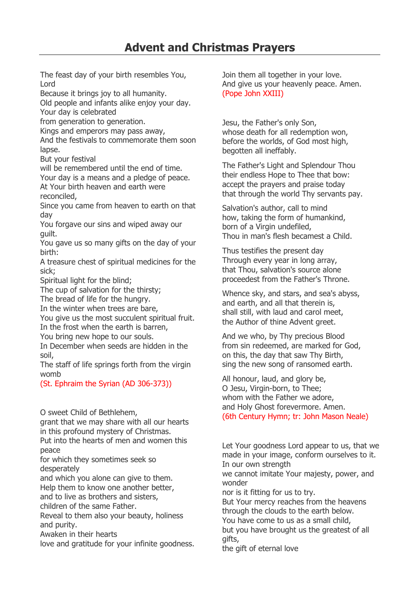The feast day of your birth resembles You, Lord

Because it brings joy to all humanity.

Old people and infants alike enjoy your day. Your day is celebrated

from generation to generation.

Kings and emperors may pass away,

And the festivals to commemorate them soon lapse.

But your festival

will be remembered until the end of time.

Your day is a means and a pledge of peace. At Your birth heaven and earth were reconciled,

Since you came from heaven to earth on that

day You forgave our sins and wiped away our

guilt.

You gave us so many gifts on the day of your birth:

A treasure chest of spiritual medicines for the sick;

Spiritual light for the blind;

The cup of salvation for the thirsty;

The bread of life for the hungry.

In the winter when trees are bare,

You give us the most succulent spiritual fruit. In the frost when the earth is barren,

You bring new hope to our souls.

In December when seeds are hidden in the soil,

The staff of life springs forth from the virgin womb

(St. Ephraim the Syrian (AD 306-373))

O sweet Child of Bethlehem,

grant that we may share with all our hearts in this profound mystery of Christmas.

Put into the hearts of men and women this peace

for which they sometimes seek so desperately

and which you alone can give to them. Help them to know one another better,

and to live as brothers and sisters,

children of the same Father.

Reveal to them also your beauty, holiness and purity.

Awaken in their hearts

love and gratitude for your infinite goodness.

Join them all together in your love. And give us your heavenly peace. Amen. (Pope John XXIII)

Jesu, the Father's only Son, whose death for all redemption won, before the worlds, of God most high, begotten all ineffably.

The Father's Light and Splendour Thou their endless Hope to Thee that bow: accept the prayers and praise today that through the world Thy servants pay.

Salvation's author, call to mind how, taking the form of humankind, born of a Virgin undefiled, Thou in man's flesh becamest a Child.

Thus testifies the present day Through every year in long array, that Thou, salvation's source alone proceedest from the Father's Throne.

Whence sky, and stars, and sea's abyss, and earth, and all that therein is, shall still, with laud and carol meet, the Author of thine Advent greet.

And we who, by Thy precious Blood from sin redeemed, are marked for God, on this, the day that saw Thy Birth, sing the new song of ransomed earth.

All honour, laud, and glory be, O Jesu, Virgin-born, to Thee; whom with the Father we adore, and Holy Ghost forevermore. Amen. (6th Century Hymn; tr: John Mason Neale)

Let Your goodness Lord appear to us, that we made in your image, conform ourselves to it. In our own strength we cannot imitate Your majesty, power, and wonder nor is it fitting for us to try. But Your mercy reaches from the heavens through the clouds to the earth below. You have come to us as a small child, but you have brought us the greatest of all gifts,

the gift of eternal love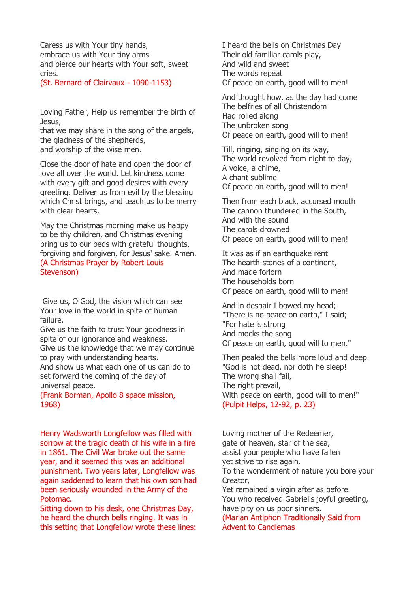Caress us with Your tiny hands, embrace us with Your tiny arms and pierce our hearts with Your soft, sweet cries.

(St. Bernard of Clairvaux - 1090-1153)

Loving Father, Help us remember the birth of Jesus,

that we may share in the song of the angels, the gladness of the shepherds, and worship of the wise men.

Close the door of hate and open the door of love all over the world. Let kindness come with every gift and good desires with every greeting. Deliver us from evil by the blessing which Christ brings, and teach us to be merry with clear hearts.

May the Christmas morning make us happy to be thy children, and Christmas evening bring us to our beds with grateful thoughts, forgiving and forgiven, for Jesus' sake. Amen. (A Christmas Prayer by Robert Louis Stevenson)

Give us, O God, the vision which can see Your love in the world in spite of human failure.

Give us the faith to trust Your goodness in spite of our ignorance and weakness. Give us the knowledge that we may continue to pray with understanding hearts. And show us what each one of us can do to set forward the coming of the day of universal peace.

(Frank Borman, Apollo 8 space mission, 1968)

Henry Wadsworth Longfellow was filled with sorrow at the tragic death of his wife in a fire in 1861. The Civil War broke out the same year, and it seemed this was an additional punishment. Two years later, Longfellow was again saddened to learn that his own son had been seriously wounded in the Army of the Potomac.

Sitting down to his desk, one Christmas Day, he heard the church bells ringing. It was in this setting that Longfellow wrote these lines: I heard the bells on Christmas Day Their old familiar carols play, And wild and sweet The words repeat Of peace on earth, good will to men!

And thought how, as the day had come The belfries of all Christendom Had rolled along The unbroken song Of peace on earth, good will to men!

Till, ringing, singing on its way, The world revolved from night to day, A voice, a chime, A chant sublime Of peace on earth, good will to men!

Then from each black, accursed mouth The cannon thundered in the South, And with the sound The carols drowned Of peace on earth, good will to men!

It was as if an earthquake rent The hearth-stones of a continent, And made forlorn The households born Of peace on earth, good will to men!

And in despair I bowed my head; "There is no peace on earth," I said; "For hate is strong And mocks the song Of peace on earth, good will to men."

Then pealed the bells more loud and deep. "God is not dead, nor doth he sleep! The wrong shall fail, The right prevail, With peace on earth, good will to men!" (Pulpit Helps, 12-92, p. 23)

Loving mother of the Redeemer, gate of heaven, star of the sea, assist your people who have fallen yet strive to rise again. To the wonderment of nature you bore your Creator, Yet remained a virgin after as before. You who received Gabriel's joyful greeting, have pity on us poor sinners. (Marian Antiphon Traditionally Said from

Advent to Candlemas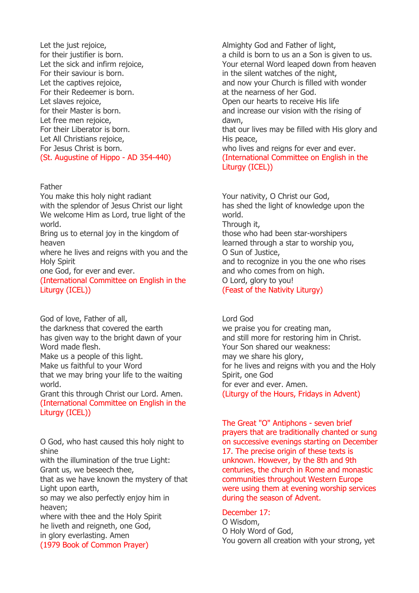Let the just rejoice. for their justifier is born. Let the sick and infirm rejoice, For their saviour is born. Let the captives rejoice. For their Redeemer is born. Let slaves rejoice, for their Master is born. Let free men rejoice, For their Liberator is born. Let All Christians rejoice, For Jesus Christ is born. (St. Augustine of Hippo - AD 354-440)

Father

You make this holy night radiant with the splendor of Jesus Christ our light We welcome Him as Lord, true light of the world.

Bring us to eternal joy in the kingdom of heaven

where he lives and reigns with you and the Holy Spirit

one God, for ever and ever.

(International Committee on English in the Liturgy (ICEL))

God of love, Father of all, the darkness that covered the earth has given way to the bright dawn of your Word made flesh.

Make us a people of this light.

Make us faithful to your Word

that we may bring your life to the waiting world.

Grant this through Christ our Lord. Amen. (International Committee on English in the Liturgy (ICEL))

O God, who hast caused this holy night to shine

with the illumination of the true Light: Grant us, we beseech thee,

that as we have known the mystery of that Light upon earth,

so may we also perfectly enjoy him in heaven;

where with thee and the Holy Spirit he liveth and reigneth, one God, in glory everlasting. Amen (1979 Book of Common Prayer)

Almighty God and Father of light, a child is born to us an a Son is given to us. Your eternal Word leaped down from heaven in the silent watches of the night, and now your Church is filled with wonder at the nearness of her God. Open our hearts to receive His life and increase our vision with the rising of dawn, that our lives may be filled with His glory and His peace,

who lives and reigns for ever and ever. (International Committee on English in the Liturgy (ICEL))

Your nativity, O Christ our God, has shed the light of knowledge upon the world. Through it, those who had been star-worshipers learned through a star to worship you, O Sun of Justice, and to recognize in you the one who rises and who comes from on high. O Lord, glory to you! (Feast of the Nativity Liturgy)

Lord God we praise you for creating man, and still more for restoring him in Christ. Your Son shared our weakness: may we share his glory, for he lives and reigns with you and the Holy Spirit, one God for ever and ever. Amen. (Liturgy of the Hours, Fridays in Advent)

The Great "O" Antiphons - seven brief prayers that are traditionally chanted or sung on successive evenings starting on December 17. The precise origin of these texts is unknown. However, by the 8th and 9th centuries, the church in Rome and monastic communities throughout Western Europe were using them at evening worship services during the season of Advent.

### December 17:

O Wisdom, O Holy Word of God, You govern all creation with your strong, yet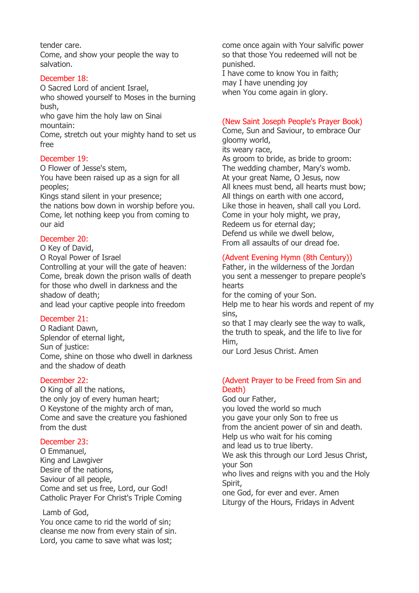tender care.

Come, and show your people the way to salvation.

## December 18:

O Sacred Lord of ancient Israel, who showed yourself to Moses in the burning bush,

who gave him the holy law on Sinai mountain:

Come, stretch out your mighty hand to set us free

# December 19:

O Flower of Jesse's stem, You have been raised up as a sign for all peoples;

Kings stand silent in your presence; the nations bow down in worship before you. Come, let nothing keep you from coming to our aid

# December 20:

O Key of David, O Royal Power of Israel Controlling at your will the gate of heaven: Come, break down the prison walls of death for those who dwell in darkness and the shadow of death; and lead your captive people into freedom

# December 21:

O Radiant Dawn, Splendor of eternal light, Sun of justice: Come, shine on those who dwell in darkness and the shadow of death

# December 22:

O King of all the nations, the only joy of every human heart; O Keystone of the mighty arch of man, Come and save the creature you fashioned from the dust

# December 23:

O Emmanuel, King and Lawgiver Desire of the nations, Saviour of all people, Come and set us free, Lord, our God! Catholic Prayer For Christ's Triple Coming

# Lamb of God,

You once came to rid the world of sin; cleanse me now from every stain of sin. Lord, you came to save what was lost;

come once again with Your salvific power so that those You redeemed will not be punished.

I have come to know You in faith; may I have unending joy when You come again in glory.

# (New Saint Joseph People's Prayer Book)

Come, Sun and Saviour, to embrace Our gloomy world, its weary race, As groom to bride, as bride to groom: The wedding chamber, Mary's womb. At your great Name, O Jesus, now All knees must bend, all hearts must bow; All things on earth with one accord, Like those in heaven, shall call you Lord. Come in your holy might, we pray, Redeem us for eternal day; Defend us while we dwell below, From all assaults of our dread foe.

# (Advent Evening Hymn (8th Century))

Father, in the wilderness of the Jordan you sent a messenger to prepare people's hearts for the coming of your Son. Help me to hear his words and repent of my sins, so that I may clearly see the way to walk, the truth to speak, and the life to live for Him, our Lord Jesus Christ. Amen

## (Advent Prayer to be Freed from Sin and Death)

God our Father, you loved the world so much you gave your only Son to free us from the ancient power of sin and death. Help us who wait for his coming and lead us to true liberty. We ask this through our Lord Jesus Christ, your Son who lives and reigns with you and the Holy Spirit, one God, for ever and ever. Amen Liturgy of the Hours, Fridays in Advent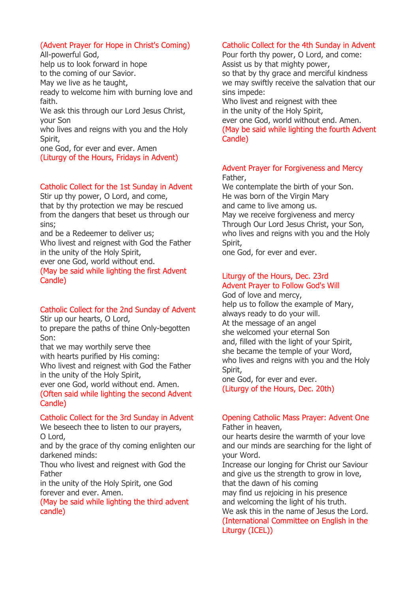### (Advent Prayer for Hope in Christ's Coming)

All-powerful God,

help us to look forward in hope

to the coming of our Savior. May we live as he taught,

ready to welcome him with burning love and faith.

We ask this through our Lord Jesus Christ, your Son

who lives and reigns with you and the Holy Spirit,

one God, for ever and ever. Amen (Liturgy of the Hours, Fridays in Advent)

### Catholic Collect for the 1st Sunday in Advent

Stir up thy power, O Lord, and come, that by thy protection we may be rescued from the dangers that beset us through our sins;

and be a Redeemer to deliver us; Who livest and reignest with God the Father in the unity of the Holy Spirit,

ever one God, world without end. (May be said while lighting the first Advent Candle)

# Catholic Collect for the 2nd Sunday of Advent

Stir up our hearts, O Lord, to prepare the paths of thine Only-begotten Son:

that we may worthily serve thee with hearts purified by His coming: Who livest and reignest with God the Father in the unity of the Holy Spirit,

ever one God, world without end. Amen. (Often said while lighting the second Advent Candle)

### Catholic Collect for the 3rd Sunday in Advent

We beseech thee to listen to our prayers, O Lord,

and by the grace of thy coming enlighten our darkened minds:

Thou who livest and reignest with God the Father

in the unity of the Holy Spirit, one God forever and ever. Amen.

(May be said while lighting the third advent candle)

### Catholic Collect for the 4th Sunday in Advent

Pour forth thy power, O Lord, and come: Assist us by that mighty power, so that by thy grace and merciful kindness we may swiftly receive the salvation that our sins impede: Who livest and reignest with thee

in the unity of the Holy Spirit, ever one God, world without end. Amen. (May be said while lighting the fourth Advent Candle)

### Advent Prayer for Forgiveness and Mercy Father,

We contemplate the birth of your Son. He was born of the Virgin Mary and came to live among us. May we receive forgiveness and mercy Through Our Lord Jesus Christ, your Son, who lives and reigns with you and the Holy Spirit,

one God, for ever and ever.

# Liturgy of the Hours, Dec. 23rd Advent Prayer to Follow God's Will

God of love and mercy, help us to follow the example of Mary, always ready to do your will. At the message of an angel she welcomed your eternal Son and, filled with the light of your Spirit, she became the temple of your Word, who lives and reigns with you and the Holy Spirit, one God, for ever and ever.

(Liturgy of the Hours, Dec. 20th)

### Opening Catholic Mass Prayer: Advent One Father in heaven,

our hearts desire the warmth of your love and our minds are searching for the light of your Word.

Increase our longing for Christ our Saviour and give us the strength to grow in love, that the dawn of his coming may find us rejoicing in his presence and welcoming the light of his truth. We ask this in the name of Jesus the Lord. (International Committee on English in the Liturgy (ICEL))